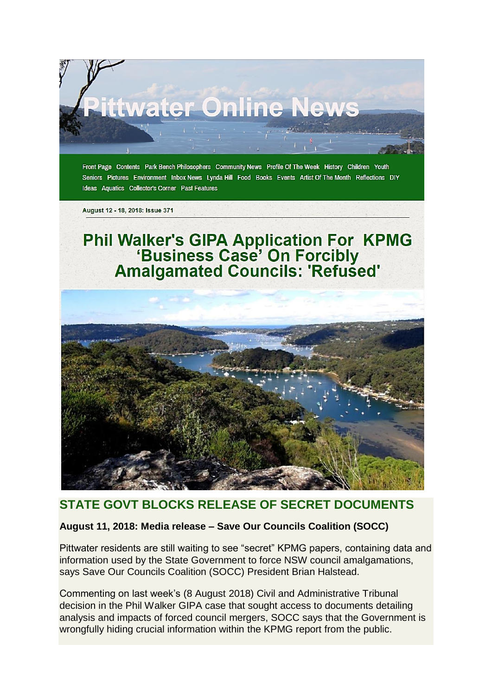

Seniors Pictures Environment Inbox News Lynda Hill Food Books Events Artist Of The Month Reflections DIY **Ideas Aquatics Collector's Corner Past Features** 

August 12 - 18, 2018: Issue 371

# Phil Walker's GIPA Application For KPMG<br>'Business Case' On Forcibly<br>Amalgamated Councils: 'Refused'



## **STATE GOVT BLOCKS RELEASE OF SECRET DOCUMENTS**

### **August 11, 2018: Media release – Save Our Councils Coalition (SOCC)**

Pittwater residents are still waiting to see "secret" KPMG papers, containing data and information used by the State Government to force NSW council amalgamations, says Save Our Councils Coalition (SOCC) President Brian Halstead.

Commenting on last week's (8 August 2018) Civil and Administrative Tribunal decision in the Phil Walker GIPA case that sought access to documents detailing analysis and impacts of forced council mergers, SOCC says that the Government is wrongfully hiding crucial information within the KPMG report from the public.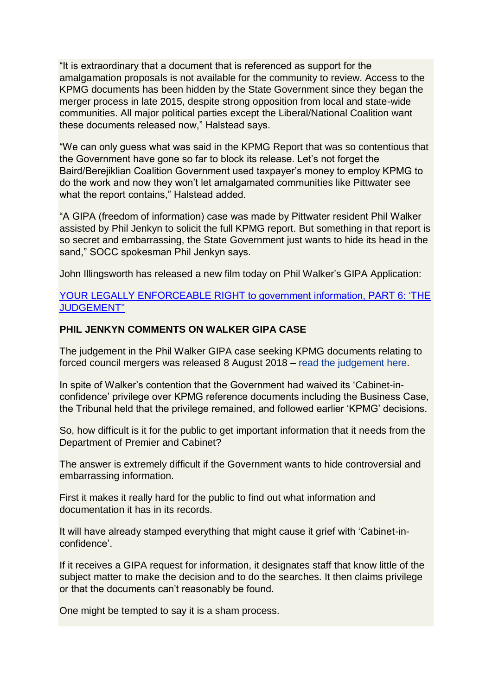"It is extraordinary that a document that is referenced as support for the amalgamation proposals is not available for the community to review. Access to the KPMG documents has been hidden by the State Government since they began the merger process in late 2015, despite strong opposition from local and state-wide communities. All major political parties except the Liberal/National Coalition want these documents released now," Halstead says.

"We can only guess what was said in the KPMG Report that was so contentious that the Government have gone so far to block its release. Let's not forget the Baird/Berejiklian Coalition Government used taxpayer's money to employ KPMG to do the work and now they won't let amalgamated communities like Pittwater see what the report contains," Halstead added.

"A GIPA (freedom of information) case was made by Pittwater resident Phil Walker assisted by Phil Jenkyn to solicit the full KPMG report. But something in that report is so secret and embarrassing, the State Government just wants to hide its head in the sand," SOCC spokesman Phil Jenkyn says.

John Illingsworth has released a new film today on Phil Walker's GIPA Application:

#### [YOUR LEGALLY ENFORCEABLE RIGHT to government information, PART 6: 'THE](https://www.youtube.com/watch?v=JBYIjUsSJXs&list=PLor69SMXRxYcFS8hKqONaoD-VSgl5Ao8R)  [JUDGEMENT"](https://www.youtube.com/watch?v=JBYIjUsSJXs&list=PLor69SMXRxYcFS8hKqONaoD-VSgl5Ao8R)

#### **PHIL JENKYN COMMENTS ON WALKER GIPA CASE**

The judgement in the Phil Walker GIPA case seeking KPMG documents relating to forced council mergers was released 8 August 2018 – read the [judgement here.](https://www.caselaw.nsw.gov.au/decision/5b68dc25e4b09e996307177a)

In spite of Walker's contention that the Government had waived its 'Cabinet-inconfidence' privilege over KPMG reference documents including the Business Case, the Tribunal held that the privilege remained, and followed earlier 'KPMG' decisions.

So, how difficult is it for the public to get important information that it needs from the Department of Premier and Cabinet?

The answer is extremely difficult if the Government wants to hide controversial and embarrassing information.

First it makes it really hard for the public to find out what information and documentation it has in its records.

It will have already stamped everything that might cause it grief with 'Cabinet-inconfidence'.

If it receives a GIPA request for information, it designates staff that know little of the subject matter to make the decision and to do the searches. It then claims privilege or that the documents can't reasonably be found.

One might be tempted to say it is a sham process.